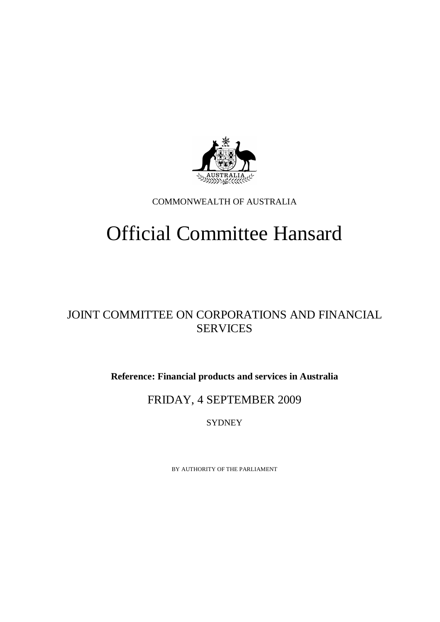

COMMONWEALTH OF AUSTRALIA

# Official Committee Hansard

## JOINT COMMITTEE ON CORPORATIONS AND FINANCIAL **SERVICES**

**Reference: Financial products and services in Australia** 

## FRIDAY, 4 SEPTEMBER 2009

**SYDNEY** 

BY AUTHORITY OF THE PARLIAMENT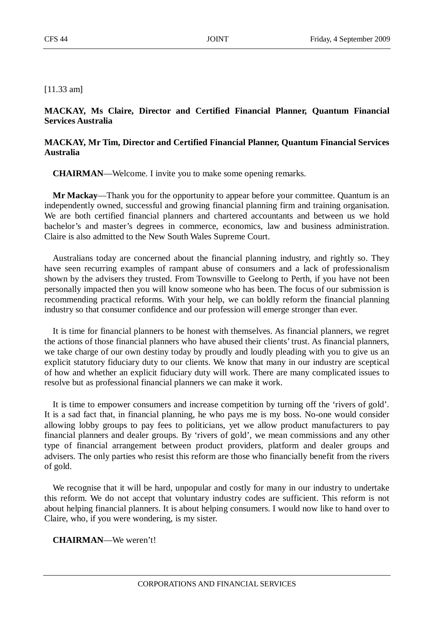[11.33 am]

### **MACKAY, Ms Claire, Director and Certified Financial Planner, Quantum Financial Services Australia**

### **MACKAY, Mr Tim, Director and Certified Financial Planner, Quantum Financial Services Australia**

**CHAIRMAN**—Welcome. I invite you to make some opening remarks.

**Mr Mackay**—Thank you for the opportunity to appear before your committee. Quantum is an independently owned, successful and growing financial planning firm and training organisation. We are both certified financial planners and chartered accountants and between us we hold bachelor's and master's degrees in commerce, economics, law and business administration. Claire is also admitted to the New South Wales Supreme Court.

Australians today are concerned about the financial planning industry, and rightly so. They have seen recurring examples of rampant abuse of consumers and a lack of professionalism shown by the advisers they trusted. From Townsville to Geelong to Perth, if you have not been personally impacted then you will know someone who has been. The focus of our submission is recommending practical reforms. With your help, we can boldly reform the financial planning industry so that consumer confidence and our profession will emerge stronger than ever.

It is time for financial planners to be honest with themselves. As financial planners, we regret the actions of those financial planners who have abused their clients' trust. As financial planners, we take charge of our own destiny today by proudly and loudly pleading with you to give us an explicit statutory fiduciary duty to our clients. We know that many in our industry are sceptical of how and whether an explicit fiduciary duty will work. There are many complicated issues to resolve but as professional financial planners we can make it work.

It is time to empower consumers and increase competition by turning off the 'rivers of gold'. It is a sad fact that, in financial planning, he who pays me is my boss. No-one would consider allowing lobby groups to pay fees to politicians, yet we allow product manufacturers to pay financial planners and dealer groups. By 'rivers of gold', we mean commissions and any other type of financial arrangement between product providers, platform and dealer groups and advisers. The only parties who resist this reform are those who financially benefit from the rivers of gold.

We recognise that it will be hard, unpopular and costly for many in our industry to undertake this reform. We do not accept that voluntary industry codes are sufficient. This reform is not about helping financial planners. It is about helping consumers. I would now like to hand over to Claire, who, if you were wondering, is my sister.

#### **CHAIRMAN**—We weren't!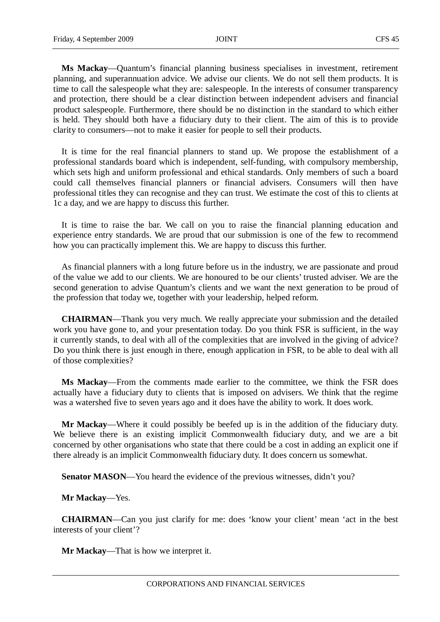**Ms Mackay**—Quantum's financial planning business specialises in investment, retirement planning, and superannuation advice. We advise our clients. We do not sell them products. It is time to call the salespeople what they are: salespeople. In the interests of consumer transparency and protection, there should be a clear distinction between independent advisers and financial product salespeople. Furthermore, there should be no distinction in the standard to which either is held. They should both have a fiduciary duty to their client. The aim of this is to provide clarity to consumers—not to make it easier for people to sell their products.

It is time for the real financial planners to stand up. We propose the establishment of a professional standards board which is independent, self-funding, with compulsory membership, which sets high and uniform professional and ethical standards. Only members of such a board could call themselves financial planners or financial advisers. Consumers will then have professional titles they can recognise and they can trust. We estimate the cost of this to clients at 1c a day, and we are happy to discuss this further.

It is time to raise the bar. We call on you to raise the financial planning education and experience entry standards. We are proud that our submission is one of the few to recommend how you can practically implement this. We are happy to discuss this further.

As financial planners with a long future before us in the industry, we are passionate and proud of the value we add to our clients. We are honoured to be our clients' trusted adviser. We are the second generation to advise Quantum's clients and we want the next generation to be proud of the profession that today we, together with your leadership, helped reform.

**CHAIRMAN**—Thank you very much. We really appreciate your submission and the detailed work you have gone to, and your presentation today. Do you think FSR is sufficient, in the way it currently stands, to deal with all of the complexities that are involved in the giving of advice? Do you think there is just enough in there, enough application in FSR, to be able to deal with all of those complexities?

**Ms Mackay**—From the comments made earlier to the committee, we think the FSR does actually have a fiduciary duty to clients that is imposed on advisers. We think that the regime was a watershed five to seven years ago and it does have the ability to work. It does work.

**Mr Mackay**—Where it could possibly be beefed up is in the addition of the fiduciary duty. We believe there is an existing implicit Commonwealth fiduciary duty, and we are a bit concerned by other organisations who state that there could be a cost in adding an explicit one if there already is an implicit Commonwealth fiduciary duty. It does concern us somewhat.

**Senator MASON—You heard the evidence of the previous witnesses, didn't you?** 

**Mr Mackay**—Yes.

**CHAIRMAN**—Can you just clarify for me: does 'know your client' mean 'act in the best interests of your client'?

**Mr Mackay**—That is how we interpret it.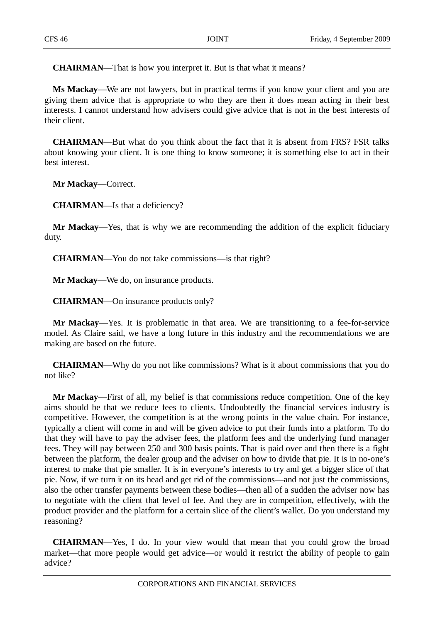**CHAIRMAN**—That is how you interpret it. But is that what it means?

**Ms Mackay**—We are not lawyers, but in practical terms if you know your client and you are giving them advice that is appropriate to who they are then it does mean acting in their best interests. I cannot understand how advisers could give advice that is not in the best interests of their client.

**CHAIRMAN**—But what do you think about the fact that it is absent from FRS? FSR talks about knowing your client. It is one thing to know someone; it is something else to act in their best interest.

**Mr Mackay**—Correct.

**CHAIRMAN**—Is that a deficiency?

**Mr Mackay**—Yes, that is why we are recommending the addition of the explicit fiduciary duty.

**CHAIRMAN**—You do not take commissions—is that right?

**Mr Mackay**—We do, on insurance products.

**CHAIRMAN**—On insurance products only?

**Mr Mackay**—Yes. It is problematic in that area. We are transitioning to a fee-for-service model. As Claire said, we have a long future in this industry and the recommendations we are making are based on the future.

**CHAIRMAN**—Why do you not like commissions? What is it about commissions that you do not like?

**Mr Mackay**—First of all, my belief is that commissions reduce competition. One of the key aims should be that we reduce fees to clients. Undoubtedly the financial services industry is competitive. However, the competition is at the wrong points in the value chain. For instance, typically a client will come in and will be given advice to put their funds into a platform. To do that they will have to pay the adviser fees, the platform fees and the underlying fund manager fees. They will pay between 250 and 300 basis points. That is paid over and then there is a fight between the platform, the dealer group and the adviser on how to divide that pie. It is in no-one's interest to make that pie smaller. It is in everyone's interests to try and get a bigger slice of that pie. Now, if we turn it on its head and get rid of the commissions—and not just the commissions, also the other transfer payments between these bodies—then all of a sudden the adviser now has to negotiate with the client that level of fee. And they are in competition, effectively, with the product provider and the platform for a certain slice of the client's wallet. Do you understand my reasoning?

**CHAIRMAN**—Yes, I do. In your view would that mean that you could grow the broad market—that more people would get advice—or would it restrict the ability of people to gain advice?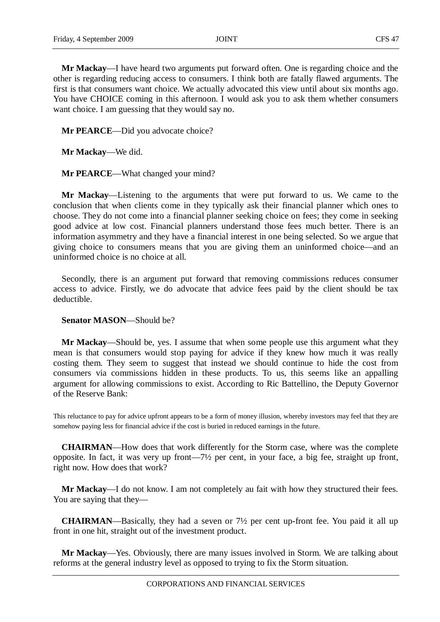**Mr Mackay**—I have heard two arguments put forward often. One is regarding choice and the other is regarding reducing access to consumers. I think both are fatally flawed arguments. The first is that consumers want choice. We actually advocated this view until about six months ago. You have CHOICE coming in this afternoon. I would ask you to ask them whether consumers want choice. I am guessing that they would say no.

**Mr PEARCE**—Did you advocate choice?

**Mr Mackay**—We did.

**Mr PEARCE**—What changed your mind?

**Mr Mackay**—Listening to the arguments that were put forward to us. We came to the conclusion that when clients come in they typically ask their financial planner which ones to choose. They do not come into a financial planner seeking choice on fees; they come in seeking good advice at low cost. Financial planners understand those fees much better. There is an information asymmetry and they have a financial interest in one being selected. So we argue that giving choice to consumers means that you are giving them an uninformed choice—and an uninformed choice is no choice at all.

Secondly, there is an argument put forward that removing commissions reduces consumer access to advice. Firstly, we do advocate that advice fees paid by the client should be tax deductible.

**Senator MASON**—Should be?

**Mr Mackay**—Should be, yes. I assume that when some people use this argument what they mean is that consumers would stop paying for advice if they knew how much it was really costing them. They seem to suggest that instead we should continue to hide the cost from consumers via commissions hidden in these products. To us, this seems like an appalling argument for allowing commissions to exist. According to Ric Battellino, the Deputy Governor of the Reserve Bank:

This reluctance to pay for advice upfront appears to be a form of money illusion, whereby investors may feel that they are somehow paying less for financial advice if the cost is buried in reduced earnings in the future.

**CHAIRMAN**—How does that work differently for the Storm case, where was the complete opposite. In fact, it was very up front—7½ per cent, in your face, a big fee, straight up front, right now. How does that work?

**Mr Mackay**—I do not know. I am not completely au fait with how they structured their fees. You are saying that they—

**CHAIRMAN**—Basically, they had a seven or 7½ per cent up-front fee. You paid it all up front in one hit, straight out of the investment product.

**Mr Mackay**—Yes. Obviously, there are many issues involved in Storm. We are talking about reforms at the general industry level as opposed to trying to fix the Storm situation.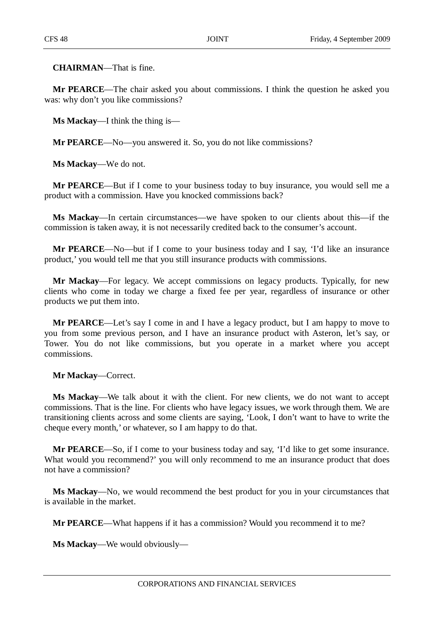**CHAIRMAN**—That is fine.

**Mr PEARCE**—The chair asked you about commissions. I think the question he asked you was: why don't you like commissions?

**Ms Mackay**—I think the thing is—

**Mr PEARCE**—No—you answered it. So, you do not like commissions?

**Ms Mackay**—We do not.

**Mr PEARCE**—But if I come to your business today to buy insurance, you would sell me a product with a commission. Have you knocked commissions back?

**Ms Mackay**—In certain circumstances—we have spoken to our clients about this—if the commission is taken away, it is not necessarily credited back to the consumer's account.

**Mr PEARCE**—No—but if I come to your business today and I say, 'I'd like an insurance product,' you would tell me that you still insurance products with commissions.

**Mr Mackay**—For legacy. We accept commissions on legacy products. Typically, for new clients who come in today we charge a fixed fee per year, regardless of insurance or other products we put them into.

**Mr PEARCE**—Let's say I come in and I have a legacy product, but I am happy to move to you from some previous person, and I have an insurance product with Asteron, let's say, or Tower. You do not like commissions, but you operate in a market where you accept commissions.

**Mr Mackay**—Correct.

**Ms Mackay**—We talk about it with the client. For new clients, we do not want to accept commissions. That is the line. For clients who have legacy issues, we work through them. We are transitioning clients across and some clients are saying, 'Look, I don't want to have to write the cheque every month,' or whatever, so I am happy to do that.

**Mr PEARCE**—So, if I come to your business today and say, 'I'd like to get some insurance. What would you recommend?' you will only recommend to me an insurance product that does not have a commission?

**Ms Mackay**—No, we would recommend the best product for you in your circumstances that is available in the market.

**Mr PEARCE**—What happens if it has a commission? Would you recommend it to me?

**Ms Mackay**—We would obviously—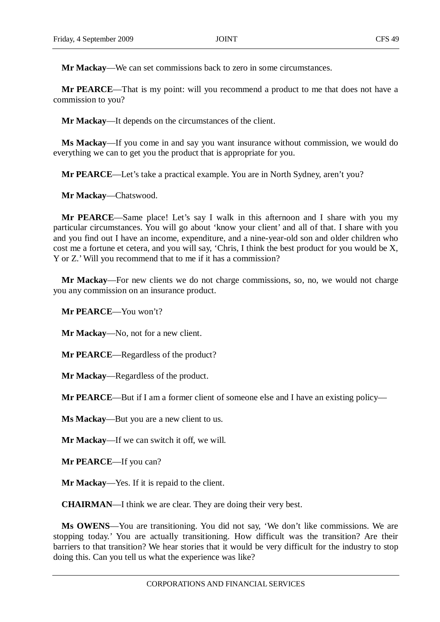**Mr Mackay**—We can set commissions back to zero in some circumstances.

**Mr PEARCE**—That is my point: will you recommend a product to me that does not have a commission to you?

**Mr Mackay**—It depends on the circumstances of the client.

**Ms Mackay**—If you come in and say you want insurance without commission, we would do everything we can to get you the product that is appropriate for you.

**Mr PEARCE**—Let's take a practical example. You are in North Sydney, aren't you?

**Mr Mackay**—Chatswood.

**Mr PEARCE**—Same place! Let's say I walk in this afternoon and I share with you my particular circumstances. You will go about 'know your client' and all of that. I share with you and you find out I have an income, expenditure, and a nine-year-old son and older children who cost me a fortune et cetera, and you will say, 'Chris, I think the best product for you would be X, Y or Z.' Will you recommend that to me if it has a commission?

**Mr Mackay**—For new clients we do not charge commissions, so, no, we would not charge you any commission on an insurance product.

**Mr PEARCE**—You won't?

**Mr Mackay**—No, not for a new client.

**Mr PEARCE**—Regardless of the product?

**Mr Mackay**—Regardless of the product.

**Mr PEARCE**—But if I am a former client of someone else and I have an existing policy—

**Ms Mackay**—But you are a new client to us.

**Mr Mackay**—If we can switch it off, we will.

**Mr PEARCE**—If you can?

**Mr Mackay**—Yes. If it is repaid to the client.

**CHAIRMAN**—I think we are clear. They are doing their very best.

**Ms OWENS**—You are transitioning. You did not say, 'We don't like commissions. We are stopping today.' You are actually transitioning. How difficult was the transition? Are their barriers to that transition? We hear stories that it would be very difficult for the industry to stop doing this. Can you tell us what the experience was like?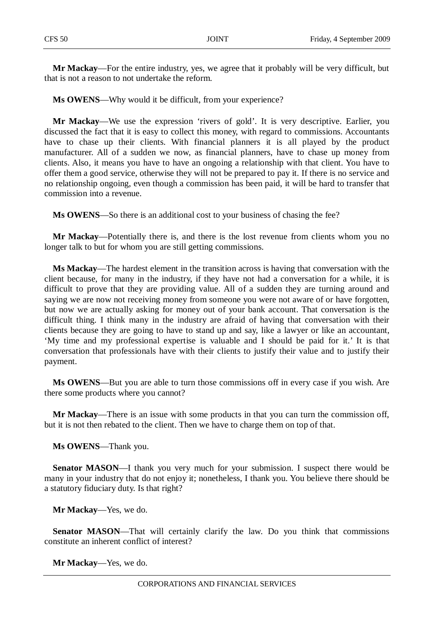**Mr Mackay**—For the entire industry, yes, we agree that it probably will be very difficult, but that is not a reason to not undertake the reform.

**Ms OWENS**—Why would it be difficult, from your experience?

**Mr Mackay**—We use the expression 'rivers of gold'. It is very descriptive. Earlier, you discussed the fact that it is easy to collect this money, with regard to commissions. Accountants have to chase up their clients. With financial planners it is all played by the product manufacturer. All of a sudden we now, as financial planners, have to chase up money from clients. Also, it means you have to have an ongoing a relationship with that client. You have to offer them a good service, otherwise they will not be prepared to pay it. If there is no service and no relationship ongoing, even though a commission has been paid, it will be hard to transfer that commission into a revenue.

**Ms OWENS**—So there is an additional cost to your business of chasing the fee?

**Mr Mackay**—Potentially there is, and there is the lost revenue from clients whom you no longer talk to but for whom you are still getting commissions.

**Ms Mackay**—The hardest element in the transition across is having that conversation with the client because, for many in the industry, if they have not had a conversation for a while, it is difficult to prove that they are providing value. All of a sudden they are turning around and saying we are now not receiving money from someone you were not aware of or have forgotten, but now we are actually asking for money out of your bank account. That conversation is the difficult thing. I think many in the industry are afraid of having that conversation with their clients because they are going to have to stand up and say, like a lawyer or like an accountant, 'My time and my professional expertise is valuable and I should be paid for it.' It is that conversation that professionals have with their clients to justify their value and to justify their payment.

**Ms OWENS**—But you are able to turn those commissions off in every case if you wish. Are there some products where you cannot?

**Mr Mackay**—There is an issue with some products in that you can turn the commission off, but it is not then rebated to the client. Then we have to charge them on top of that.

**Ms OWENS**—Thank you.

**Senator MASON—I** thank you very much for your submission. I suspect there would be many in your industry that do not enjoy it; nonetheless, I thank you. You believe there should be a statutory fiduciary duty. Is that right?

**Mr Mackay**—Yes, we do.

**Senator MASON—That will certainly clarify the law. Do you think that commissions** constitute an inherent conflict of interest?

**Mr Mackay**—Yes, we do.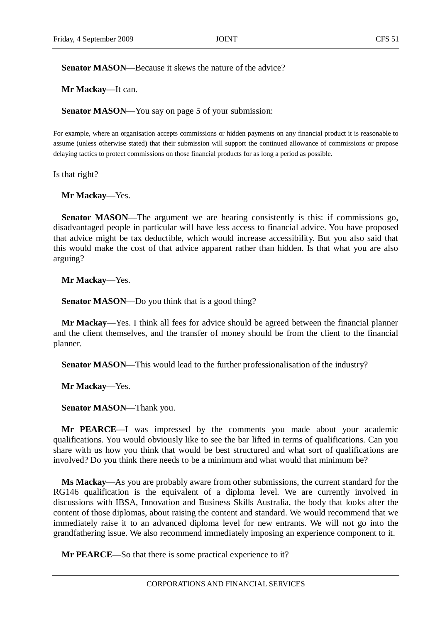**Senator MASON—Because it skews the nature of the advice?** 

**Mr Mackay**—It can.

**Senator MASON—You say on page 5 of your submission:** 

For example, where an organisation accepts commissions or hidden payments on any financial product it is reasonable to assume (unless otherwise stated) that their submission will support the continued allowance of commissions or propose delaying tactics to protect commissions on those financial products for as long a period as possible.

Is that right?

**Mr Mackay**—Yes.

**Senator MASON—The argument we are hearing consistently is this: if commissions go,** disadvantaged people in particular will have less access to financial advice. You have proposed that advice might be tax deductible, which would increase accessibility. But you also said that this would make the cost of that advice apparent rather than hidden. Is that what you are also arguing?

**Mr Mackay**—Yes.

**Senator MASON—Do** you think that is a good thing?

**Mr Mackay**—Yes. I think all fees for advice should be agreed between the financial planner and the client themselves, and the transfer of money should be from the client to the financial planner.

**Senator MASON**—This would lead to the further professionalisation of the industry?

**Mr Mackay**—Yes.

**Senator MASON**—Thank you.

**Mr PEARCE**—I was impressed by the comments you made about your academic qualifications. You would obviously like to see the bar lifted in terms of qualifications. Can you share with us how you think that would be best structured and what sort of qualifications are involved? Do you think there needs to be a minimum and what would that minimum be?

**Ms Mackay**—As you are probably aware from other submissions, the current standard for the RG146 qualification is the equivalent of a diploma level. We are currently involved in discussions with IBSA, Innovation and Business Skills Australia, the body that looks after the content of those diplomas, about raising the content and standard. We would recommend that we immediately raise it to an advanced diploma level for new entrants. We will not go into the grandfathering issue. We also recommend immediately imposing an experience component to it.

**Mr PEARCE**—So that there is some practical experience to it?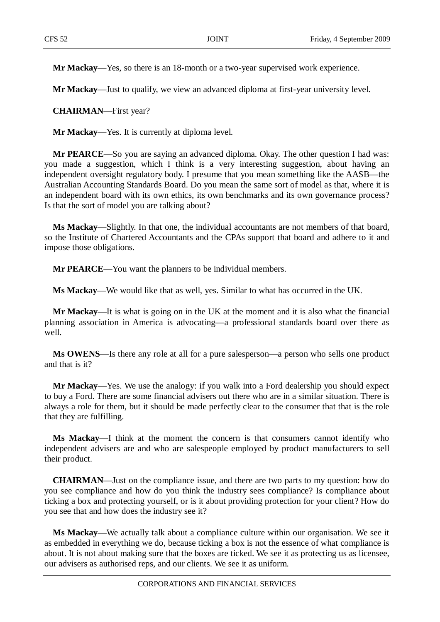**Mr Mackay**—Yes, so there is an 18-month or a two-year supervised work experience.

**Mr Mackay**—Just to qualify, we view an advanced diploma at first-year university level.

**CHAIRMAN**—First year?

**Mr Mackay**—Yes. It is currently at diploma level.

**Mr PEARCE**—So you are saying an advanced diploma. Okay. The other question I had was: you made a suggestion, which I think is a very interesting suggestion, about having an independent oversight regulatory body. I presume that you mean something like the AASB—the Australian Accounting Standards Board. Do you mean the same sort of model as that, where it is an independent board with its own ethics, its own benchmarks and its own governance process? Is that the sort of model you are talking about?

**Ms Mackay**—Slightly. In that one, the individual accountants are not members of that board, so the Institute of Chartered Accountants and the CPAs support that board and adhere to it and impose those obligations.

**Mr PEARCE**—You want the planners to be individual members.

**Ms Mackay**—We would like that as well, yes. Similar to what has occurred in the UK.

**Mr Mackay**—It is what is going on in the UK at the moment and it is also what the financial planning association in America is advocating—a professional standards board over there as well.

**Ms OWENS**—Is there any role at all for a pure salesperson—a person who sells one product and that is it?

**Mr Mackay**—Yes. We use the analogy: if you walk into a Ford dealership you should expect to buy a Ford. There are some financial advisers out there who are in a similar situation. There is always a role for them, but it should be made perfectly clear to the consumer that that is the role that they are fulfilling.

**Ms Mackay**—I think at the moment the concern is that consumers cannot identify who independent advisers are and who are salespeople employed by product manufacturers to sell their product.

**CHAIRMAN**—Just on the compliance issue, and there are two parts to my question: how do you see compliance and how do you think the industry sees compliance? Is compliance about ticking a box and protecting yourself, or is it about providing protection for your client? How do you see that and how does the industry see it?

**Ms Mackay**—We actually talk about a compliance culture within our organisation. We see it as embedded in everything we do, because ticking a box is not the essence of what compliance is about. It is not about making sure that the boxes are ticked. We see it as protecting us as licensee, our advisers as authorised reps, and our clients. We see it as uniform.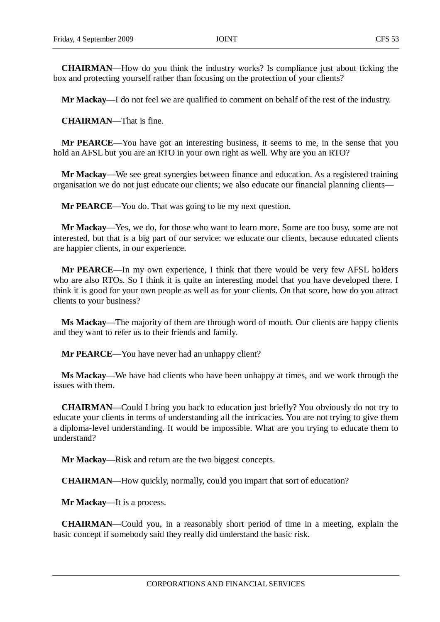**CHAIRMAN**—How do you think the industry works? Is compliance just about ticking the box and protecting yourself rather than focusing on the protection of your clients?

**Mr Mackay**—I do not feel we are qualified to comment on behalf of the rest of the industry.

**CHAIRMAN**—That is fine.

**Mr PEARCE**—You have got an interesting business, it seems to me, in the sense that you hold an AFSL but you are an RTO in your own right as well. Why are you an RTO?

**Mr Mackay**—We see great synergies between finance and education. As a registered training organisation we do not just educate our clients; we also educate our financial planning clients—

**Mr PEARCE**—You do. That was going to be my next question.

**Mr Mackay**—Yes, we do, for those who want to learn more. Some are too busy, some are not interested, but that is a big part of our service: we educate our clients, because educated clients are happier clients, in our experience.

**Mr PEARCE**—In my own experience, I think that there would be very few AFSL holders who are also RTOs. So I think it is quite an interesting model that you have developed there. I think it is good for your own people as well as for your clients. On that score, how do you attract clients to your business?

**Ms Mackay**—The majority of them are through word of mouth. Our clients are happy clients and they want to refer us to their friends and family.

**Mr PEARCE—You have never had an unhappy client?** 

**Ms Mackay**—We have had clients who have been unhappy at times, and we work through the issues with them.

**CHAIRMAN**—Could I bring you back to education just briefly? You obviously do not try to educate your clients in terms of understanding all the intricacies. You are not trying to give them a diploma-level understanding. It would be impossible. What are you trying to educate them to understand?

**Mr Mackay**—Risk and return are the two biggest concepts.

**CHAIRMAN**—How quickly, normally, could you impart that sort of education?

**Mr Mackay**—It is a process.

**CHAIRMAN**—Could you, in a reasonably short period of time in a meeting, explain the basic concept if somebody said they really did understand the basic risk.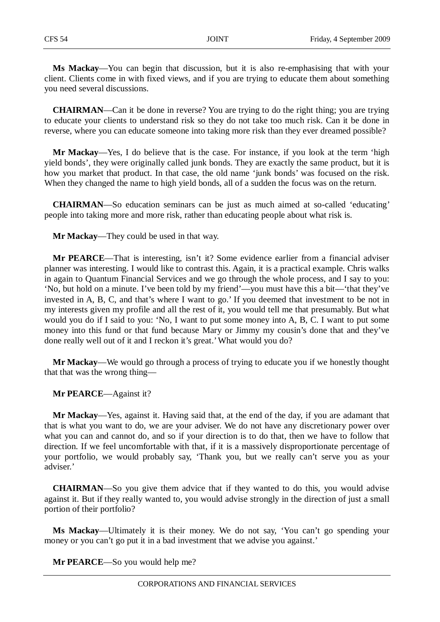**Ms Mackay**—You can begin that discussion, but it is also re-emphasising that with your client. Clients come in with fixed views, and if you are trying to educate them about something you need several discussions.

**CHAIRMAN**—Can it be done in reverse? You are trying to do the right thing; you are trying to educate your clients to understand risk so they do not take too much risk. Can it be done in reverse, where you can educate someone into taking more risk than they ever dreamed possible?

**Mr Mackay**—Yes, I do believe that is the case. For instance, if you look at the term 'high yield bonds', they were originally called junk bonds. They are exactly the same product, but it is how you market that product. In that case, the old name 'junk bonds' was focused on the risk. When they changed the name to high yield bonds, all of a sudden the focus was on the return.

**CHAIRMAN**—So education seminars can be just as much aimed at so-called 'educating' people into taking more and more risk, rather than educating people about what risk is.

**Mr Mackay**—They could be used in that way.

**Mr PEARCE**—That is interesting, isn't it? Some evidence earlier from a financial adviser planner was interesting. I would like to contrast this. Again, it is a practical example. Chris walks in again to Quantum Financial Services and we go through the whole process, and I say to you: 'No, but hold on a minute. I've been told by my friend'—you must have this a bit—'that they've invested in A, B, C, and that's where I want to go.' If you deemed that investment to be not in my interests given my profile and all the rest of it, you would tell me that presumably. But what would you do if I said to you: 'No, I want to put some money into A, B, C. I want to put some money into this fund or that fund because Mary or Jimmy my cousin's done that and they've done really well out of it and I reckon it's great.' What would you do?

**Mr Mackay**—We would go through a process of trying to educate you if we honestly thought that that was the wrong thing—

**Mr PEARCE**—Against it?

**Mr Mackay**—Yes, against it. Having said that, at the end of the day, if you are adamant that that is what you want to do, we are your adviser. We do not have any discretionary power over what you can and cannot do, and so if your direction is to do that, then we have to follow that direction. If we feel uncomfortable with that, if it is a massively disproportionate percentage of your portfolio, we would probably say, 'Thank you, but we really can't serve you as your adviser.'

**CHAIRMAN**—So you give them advice that if they wanted to do this, you would advise against it. But if they really wanted to, you would advise strongly in the direction of just a small portion of their portfolio?

**Ms Mackay**—Ultimately it is their money. We do not say, 'You can't go spending your money or you can't go put it in a bad investment that we advise you against.'

**Mr PEARCE**—So you would help me?